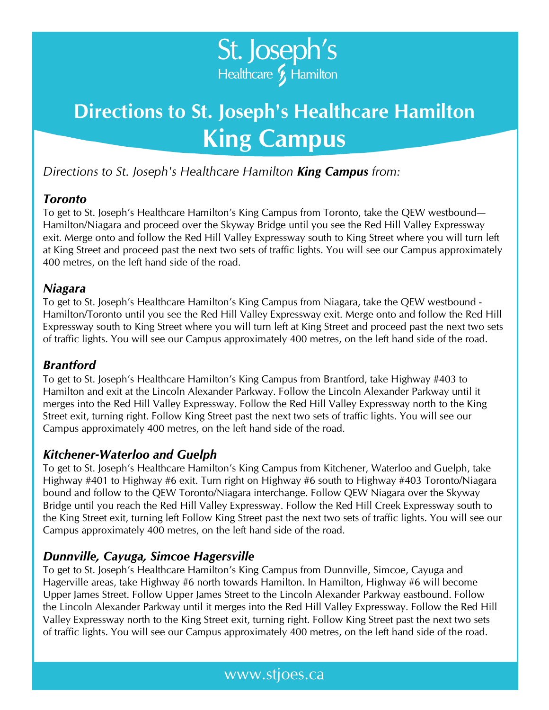

# **Directions to St. Joseph's Healthcare Hamilton King Campus**

*Directions to St. Joseph's Healthcare Hamilton King Campus from:* 

### *Toronto*

To get to St. Joseph's Healthcare Hamilton's King Campus from Toronto, take the QEW westbound— Hamilton/Niagara and proceed over the Skyway Bridge until you see the Red Hill Valley Expressway exit. Merge onto and follow the Red Hill Valley Expressway south to King Street where you will turn left at King Street and proceed past the next two sets of traffic lights. You will see our Campus approximately 400 metres, on the left hand side of the road.

#### *Niagara*

To get to St. Joseph's Healthcare Hamilton's King Campus from Niagara, take the QEW westbound - Hamilton/Toronto until you see the Red Hill Valley Expressway exit. Merge onto and follow the Red Hill Expressway south to King Street where you will turn left at King Street and proceed past the next two sets of traffic lights. You will see our Campus approximately 400 metres, on the left hand side of the road.

### *Brantford*

To get to St. Joseph's Healthcare Hamilton's King Campus from Brantford, take Highway #403 to Hamilton and exit at the Lincoln Alexander Parkway. Follow the Lincoln Alexander Parkway until it merges into the Red Hill Valley Expressway. Follow the Red Hill Valley Expressway north to the King Street exit, turning right. Follow King Street past the next two sets of traffic lights. You will see our Campus approximately 400 metres, on the left hand side of the road.

### *Kitchener-Waterloo and Guelph*

To get to St. Joseph's Healthcare Hamilton's King Campus from Kitchener, Waterloo and Guelph, take Highway #401 to Highway #6 exit. Turn right on Highway #6 south to Highway #403 Toronto/Niagara bound and follow to the QEW Toronto/Niagara interchange. Follow QEW Niagara over the Skyway Bridge until you reach the Red Hill Valley Expressway. Follow the Red Hill Creek Expressway south to the King Street exit, turning left Follow King Street past the next two sets of traffic lights. You will see our Campus approximately 400 metres, on the left hand side of the road.

### *Dunnville, Cayuga, Simcoe Hagersville*

To get to St. Joseph's Healthcare Hamilton's King Campus from Dunnville, Simcoe, Cayuga and Hagerville areas, take Highway #6 north towards Hamilton. In Hamilton, Highway #6 will become Upper James Street. Follow Upper James Street to the Lincoln Alexander Parkway eastbound. Follow the Lincoln Alexander Parkway until it merges into the Red Hill Valley Expressway. Follow the Red Hill Valley Expressway north to the King Street exit, turning right. Follow King Street past the next two sets of traffic lights. You will see our Campus approximately 400 metres, on the left hand side of the road.